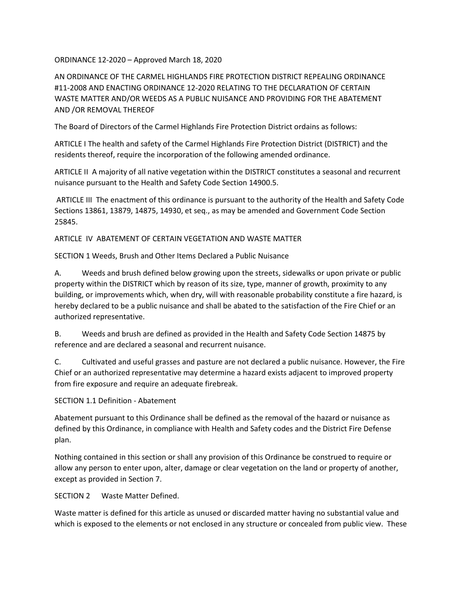ORDINANCE 12-2020 – Approved March 18, 2020

AN ORDINANCE OF THE CARMEL HIGHLANDS FIRE PROTECTION DISTRICT REPEALING ORDINANCE #11-2008 AND ENACTING ORDINANCE 12-2020 RELATING TO THE DECLARATION OF CERTAIN WASTE MATTER AND/OR WEEDS AS A PUBLIC NUISANCE AND PROVIDING FOR THE ABATEMENT AND /OR REMOVAL THEREOF

The Board of Directors of the Carmel Highlands Fire Protection District ordains as follows:

ARTICLE I The health and safety of the Carmel Highlands Fire Protection District (DISTRICT) and the residents thereof, require the incorporation of the following amended ordinance.

ARTICLE II A majority of all native vegetation within the DISTRICT constitutes a seasonal and recurrent nuisance pursuant to the Health and Safety Code Section 14900.5.

ARTICLE III The enactment of this ordinance is pursuant to the authority of the Health and Safety Code Sections 13861, 13879, 14875, 14930, et seq., as may be amended and Government Code Section 25845.

ARTICLE IV ABATEMENT OF CERTAIN VEGETATION AND WASTE MATTER

SECTION 1 Weeds, Brush and Other Items Declared a Public Nuisance

A. Weeds and brush defined below growing upon the streets, sidewalks or upon private or public property within the DISTRICT which by reason of its size, type, manner of growth, proximity to any building, or improvements which, when dry, will with reasonable probability constitute a fire hazard, is hereby declared to be a public nuisance and shall be abated to the satisfaction of the Fire Chief or an authorized representative.

B. Weeds and brush are defined as provided in the Health and Safety Code Section 14875 by reference and are declared a seasonal and recurrent nuisance.

C. Cultivated and useful grasses and pasture are not declared a public nuisance. However, the Fire Chief or an authorized representative may determine a hazard exists adjacent to improved property from fire exposure and require an adequate firebreak.

SECTION 1.1 Definition - Abatement

Abatement pursuant to this Ordinance shall be defined as the removal of the hazard or nuisance as defined by this Ordinance, in compliance with Health and Safety codes and the District Fire Defense plan.

Nothing contained in this section or shall any provision of this Ordinance be construed to require or allow any person to enter upon, alter, damage or clear vegetation on the land or property of another, except as provided in Section 7.

SECTION 2 Waste Matter Defined.

Waste matter is defined for this article as unused or discarded matter having no substantial value and which is exposed to the elements or not enclosed in any structure or concealed from public view. These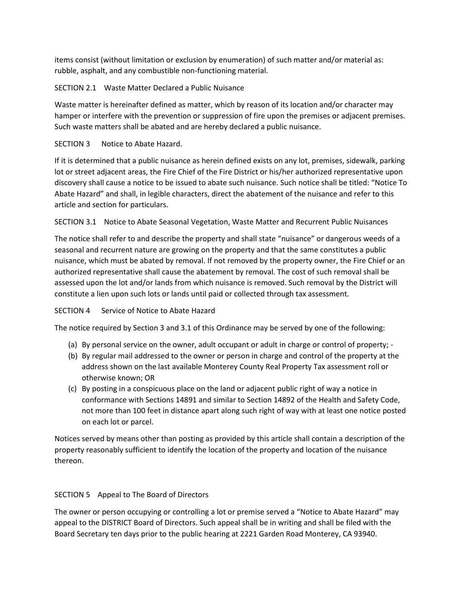items consist (without limitation or exclusion by enumeration) of such matter and/or material as: rubble, asphalt, and any combustible non-functioning material.

# SECTION 2.1 Waste Matter Declared a Public Nuisance

Waste matter is hereinafter defined as matter, which by reason of its location and/or character may hamper or interfere with the prevention or suppression of fire upon the premises or adjacent premises. Such waste matters shall be abated and are hereby declared a public nuisance.

### SECTION 3 Notice to Abate Hazard.

If it is determined that a public nuisance as herein defined exists on any lot, premises, sidewalk, parking lot or street adjacent areas, the Fire Chief of the Fire District or his/her authorized representative upon discovery shall cause a notice to be issued to abate such nuisance. Such notice shall be titled: "Notice To Abate Hazard" and shall, in legible characters, direct the abatement of the nuisance and refer to this article and section for particulars.

SECTION 3.1 Notice to Abate Seasonal Vegetation, Waste Matter and Recurrent Public Nuisances

The notice shall refer to and describe the property and shall state "nuisance" or dangerous weeds of a seasonal and recurrent nature are growing on the property and that the same constitutes a public nuisance, which must be abated by removal. If not removed by the property owner, the Fire Chief or an authorized representative shall cause the abatement by removal. The cost of such removal shall be assessed upon the lot and/or lands from which nuisance is removed. Such removal by the District will constitute a lien upon such lots or lands until paid or collected through tax assessment.

# SECTION 4 Service of Notice to Abate Hazard

The notice required by Section 3 and 3.1 of this Ordinance may be served by one of the following:

- (a) By personal service on the owner, adult occupant or adult in charge or control of property; -
- (b) By regular mail addressed to the owner or person in charge and control of the property at the address shown on the last available Monterey County Real Property Tax assessment roll or otherwise known; OR
- (c) By posting in a conspicuous place on the land or adjacent public right of way a notice in conformance with Sections 14891 and similar to Section 14892 of the Health and Safety Code, not more than 100 feet in distance apart along such right of way with at least one notice posted on each lot or parcel.

Notices served by means other than posting as provided by this article shall contain a description of the property reasonably sufficient to identify the location of the property and location of the nuisance thereon.

# SECTION 5 Appeal to The Board of Directors

The owner or person occupying or controlling a lot or premise served a "Notice to Abate Hazard" may appeal to the DISTRICT Board of Directors. Such appeal shall be in writing and shall be filed with the Board Secretary ten days prior to the public hearing at 2221 Garden Road Monterey, CA 93940.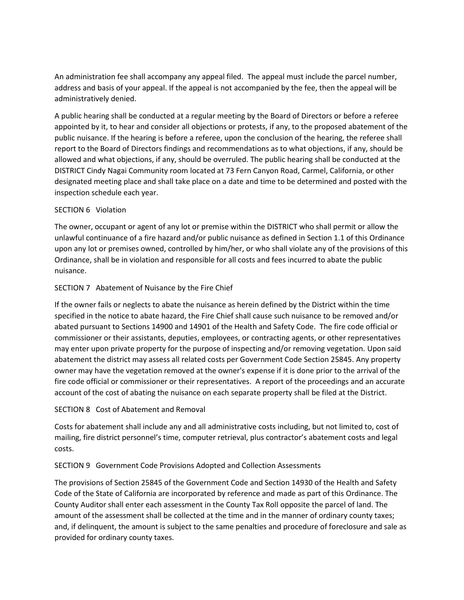An administration fee shall accompany any appeal filed. The appeal must include the parcel number, address and basis of your appeal. If the appeal is not accompanied by the fee, then the appeal will be administratively denied.

A public hearing shall be conducted at a regular meeting by the Board of Directors or before a referee appointed by it, to hear and consider all objections or protests, if any, to the proposed abatement of the public nuisance. If the hearing is before a referee, upon the conclusion of the hearing, the referee shall report to the Board of Directors findings and recommendations as to what objections, if any, should be allowed and what objections, if any, should be overruled. The public hearing shall be conducted at the DISTRICT Cindy Nagai Community room located at 73 Fern Canyon Road, Carmel, California, or other designated meeting place and shall take place on a date and time to be determined and posted with the inspection schedule each year.

#### SECTION 6 Violation

The owner, occupant or agent of any lot or premise within the DISTRICT who shall permit or allow the unlawful continuance of a fire hazard and/or public nuisance as defined in Section 1.1 of this Ordinance upon any lot or premises owned, controlled by him/her, or who shall violate any of the provisions of this Ordinance, shall be in violation and responsible for all costs and fees incurred to abate the public nuisance.

### SECTION 7 Abatement of Nuisance by the Fire Chief

If the owner fails or neglects to abate the nuisance as herein defined by the District within the time specified in the notice to abate hazard, the Fire Chief shall cause such nuisance to be removed and/or abated pursuant to Sections 14900 and 14901 of the Health and Safety Code. The fire code official or commissioner or their assistants, deputies, employees, or contracting agents, or other representatives may enter upon private property for the purpose of inspecting and/or removing vegetation. Upon said abatement the district may assess all related costs per Government Code Section 25845. Any property owner may have the vegetation removed at the owner's expense if it is done prior to the arrival of the fire code official or commissioner or their representatives. A report of the proceedings and an accurate account of the cost of abating the nuisance on each separate property shall be filed at the District.

# SECTION 8 Cost of Abatement and Removal

Costs for abatement shall include any and all administrative costs including, but not limited to, cost of mailing, fire district personnel's time, computer retrieval, plus contractor's abatement costs and legal costs.

#### SECTION 9 Government Code Provisions Adopted and Collection Assessments

The provisions of Section 25845 of the Government Code and Section 14930 of the Health and Safety Code of the State of California are incorporated by reference and made as part of this Ordinance. The County Auditor shall enter each assessment in the County Tax Roll opposite the parcel of land. The amount of the assessment shall be collected at the time and in the manner of ordinary county taxes; and, if delinquent, the amount is subject to the same penalties and procedure of foreclosure and sale as provided for ordinary county taxes.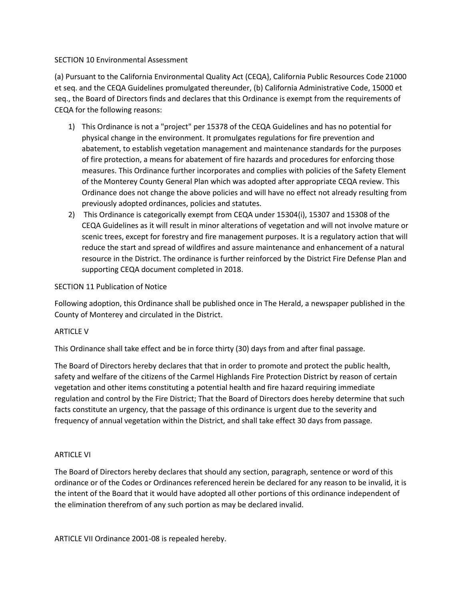#### SECTION 10 Environmental Assessment

(a) Pursuant to the California Environmental Quality Act (CEQA}, California Public Resources Code 21000 et seq. and the CEQA Guidelines promulgated thereunder, (b) California Administrative Code, 15000 et seq., the Board of Directors finds and declares that this Ordinance is exempt from the requirements of CEQA for the following reasons:

- 1) This Ordinance is not a "project" per 15378 of the CEQA Guidelines and has no potential for physical change in the environment. It promulgates regulations for fire prevention and abatement, to establish vegetation management and maintenance standards for the purposes of fire protection, a means for abatement of fire hazards and procedures for enforcing those measures. This Ordinance further incorporates and complies with policies of the Safety Element of the Monterey County General Plan which was adopted after appropriate CEQA review. This Ordinance does not change the above policies and will have no effect not already resulting from previously adopted ordinances, policies and statutes.
- 2) This Ordinance is categorically exempt from CEQA under 15304(i), 15307 and 15308 of the CEQA Guidelines as it will result in minor alterations of vegetation and will not involve mature or scenic trees, except for forestry and fire management purposes. It is a regulatory action that will reduce the start and spread of wildfires and assure maintenance and enhancement of a natural resource in the District. The ordinance is further reinforced by the District Fire Defense Plan and supporting CEQA document completed in 2018.

### SECTION 11 Publication of Notice

Following adoption, this Ordinance shall be published once in The Herald, a newspaper published in the County of Monterey and circulated in the District.

#### ARTICLE V

This Ordinance shall take effect and be in force thirty (30) days from and after final passage.

The Board of Directors hereby declares that that in order to promote and protect the public health, safety and welfare of the citizens of the Carmel Highlands Fire Protection District by reason of certain vegetation and other items constituting a potential health and fire hazard requiring immediate regulation and control by the Fire District; That the Board of Directors does hereby determine that such facts constitute an urgency, that the passage of this ordinance is urgent due to the severity and frequency of annual vegetation within the District, and shall take effect 30 days from passage.

#### ARTICLE VI

The Board of Directors hereby declares that should any section, paragraph, sentence or word of this ordinance or of the Codes or Ordinances referenced herein be declared for any reason to be invalid, it is the intent of the Board that it would have adopted all other portions of this ordinance independent of the elimination therefrom of any such portion as may be declared invalid.

ARTICLE VII Ordinance 2001-08 is repealed hereby.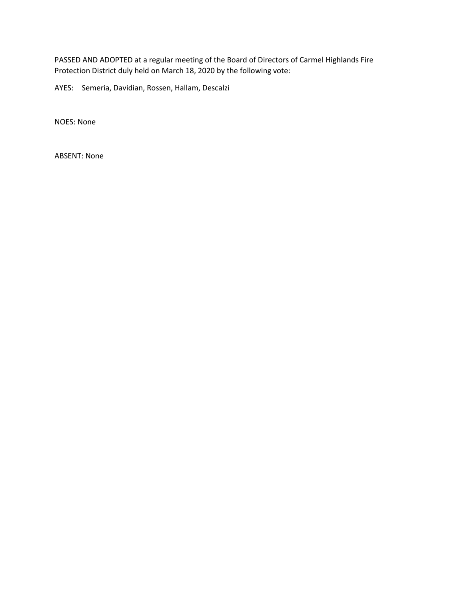PASSED AND ADOPTED at a regular meeting of the Board of Directors of Carmel Highlands Fire Protection District duly held on March 18, 2020 by the following vote:

AYES: Semeria, Davidian, Rossen, Hallam, Descalzi

NOES: None

ABSENT: None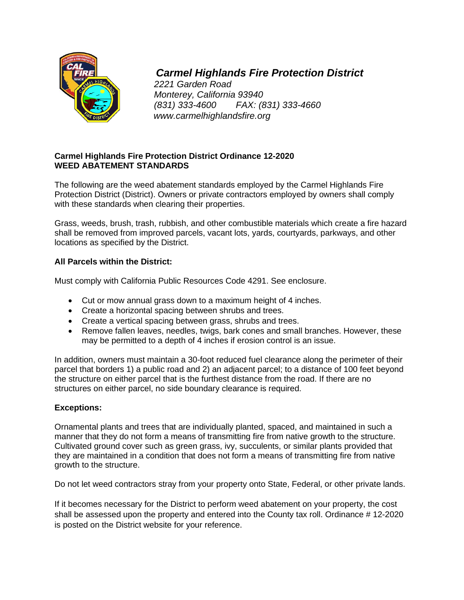

# *Carmel Highlands Fire Protection District*

*2221 Garden Road Monterey, California 93940 (831) 333-4600 FAX: (831) 333-4660 www.carmelhighlandsfire.org*

# **Carmel Highlands Fire Protection District Ordinance 12-2020 WEED ABATEMENT STANDARDS**

The following are the weed abatement standards employed by the Carmel Highlands Fire Protection District (District). Owners or private contractors employed by owners shall comply with these standards when clearing their properties.

Grass, weeds, brush, trash, rubbish, and other combustible materials which create a fire hazard shall be removed from improved parcels, vacant lots, yards, courtyards, parkways, and other locations as specified by the District.

# **All Parcels within the District:**

Must comply with California Public Resources Code 4291. See enclosure.

- Cut or mow annual grass down to a maximum height of 4 inches.
- Create a horizontal spacing between shrubs and trees.
- Create a vertical spacing between grass, shrubs and trees.
- Remove fallen leaves, needles, twigs, bark cones and small branches. However, these may be permitted to a depth of 4 inches if erosion control is an issue.

In addition, owners must maintain a 30-foot reduced fuel clearance along the perimeter of their parcel that borders 1) a public road and 2) an adjacent parcel; to a distance of 100 feet beyond the structure on either parcel that is the furthest distance from the road. If there are no structures on either parcel, no side boundary clearance is required.

# **Exceptions:**

Ornamental plants and trees that are individually planted, spaced, and maintained in such a manner that they do not form a means of transmitting fire from native growth to the structure. Cultivated ground cover such as green grass, ivy, succulents, or similar plants provided that they are maintained in a condition that does not form a means of transmitting fire from native growth to the structure.

Do not let weed contractors stray from your property onto State, Federal, or other private lands.

If it becomes necessary for the District to perform weed abatement on your property, the cost shall be assessed upon the property and entered into the County tax roll. Ordinance # 12-2020 is posted on the District website for your reference.